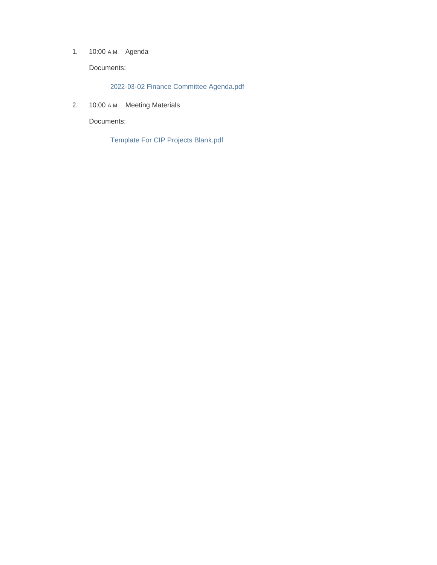1. 10:00 A.M. Agenda

Documents:

2022-03-02 Finance Committee Agenda.pdf

2. 10:00 A.M. Meeting Materials

Documents:

Template For CIP Projects Blank.pdf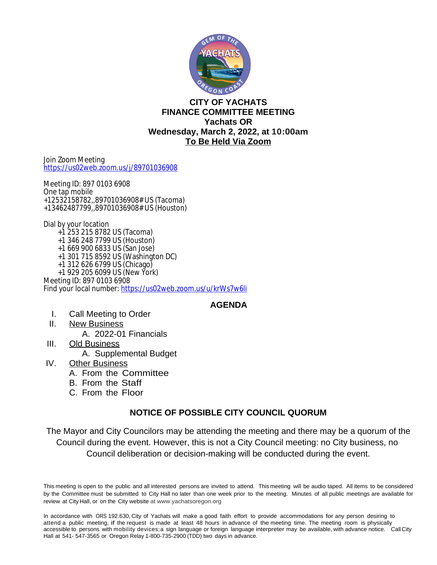

## **CITY OF YACHATS FINANCE COMMITTEE MEETING Yachats OR Wednesday, March 2, 2022, at 10:00am To Be Held Via Zoom**

Join Zoom Meeting <https://us02web.zoom.us/j/89701036908>

Meeting ID: 897 0103 6908 One tap mobile +12532158782,,89701036908# US (Tacoma) +13462487799,,89701036908# US (Houston)

Dial by your location +1 253 215 8782 US (Tacoma) +1 346 248 7799 US (Houston) +1 669 900 6833 US (San Jose) +1 301 715 8592 US (Washington DC) +1 312 626 6799 US (Chicago) +1 929 205 6099 US (New York) Meeting ID: 897 0103 6908 Find your local number: <https://us02web.zoom.us/u/krWs7w6li>

**AGENDA**

- I. Call Meeting to Order
- II. New Business A. 2022-01 Financials
- III. Old Business
	- A. Supplemental Budget
- IV. Other Business
	- A. From the Committee
	- B. From the Staff
	- C. From the Floor

## **NOTICE OF POSSIBLE CITY COUNCIL QUORUM**

The Mayor and City Councilors may be attending the meeting and there may be a quorum of the Council during the event. However, this is not a City Council meeting: no City business, no Council deliberation or decision-making will be conducted during the event.

This meeting is open to the public and all interested persons are invited to attend. This meeting will be audio taped. All items to be considered by the Committee must be submitted to City Hall no later than one week prior to the meeting. Minutes of all public meetings are available for review at City Hall, or on the City website at www.yachatsoregon.org

In accordance with ORS 192.630, City of Yachats will make a good faith effort to provide accommodations for any person desiring to attend a public meeting, if the request is made at least 48 hours in advance of the meeting time. The meeting room is physically accessible to persons with mobility devices;a sign language or foreign language interpreter may be available, with advance notice. Call City Hall at 541- 547-3565 or Oregon Relay 1-800-735-2900 (TDD) two days in advance.